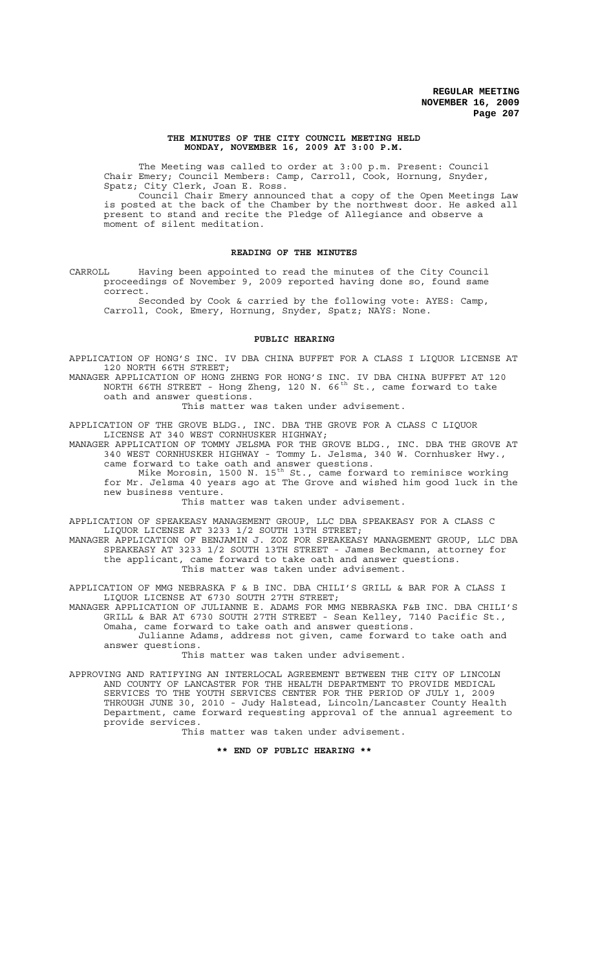### **THE MINUTES OF THE CITY COUNCIL MEETING HELD MONDAY, NOVEMBER 16, 2009 AT 3:00 P.M.**

The Meeting was called to order at 3:00 p.m. Present: Council Chair Emery; Council Members: Camp, Carroll, Cook, Hornung, Snyder, Spatz; City Clerk, Joan E. Ross.

Council Chair Emery announced that a copy of the Open Meetings Law is posted at the back of the Chamber by the northwest door. He asked all present to stand and recite the Pledge of Allegiance and observe a moment of silent meditation.

# **READING OF THE MINUTES**

CARROLL Having been appointed to read the minutes of the City Council proceedings of November 9, 2009 reported having done so, found same correct.

Seconded by Cook & carried by the following vote: AYES: Camp, Carroll, Cook, Emery, Hornung, Snyder, Spatz; NAYS: None.

# **PUBLIC HEARING**

APPLICATION OF HONG'S INC. IV DBA CHINA BUFFET FOR A CLASS I LIQUOR LICENSE AT 120 NORTH 66TH STREET;

MANAGER APPLICATION OF HONG ZHENG FOR HONG'S INC. IV DBA CHINA BUFFET AT 120 NORTH 66TH STREET - Hong Zheng, 120 N. 66 $^{\text{th}}$  St., came forward to take oath and answer questions.

This matter was taken under advisement.

APPLICATION OF THE GROVE BLDG., INC. DBA THE GROVE FOR A CLASS C LIQUOR LICENSE AT 340 WEST CORNHUSKER HIGHWAY;

MANAGER APPLICATION OF TOMMY JELSMA FOR THE GROVE BLDG., INC. DBA THE GROVE AT 340 WEST CORNHUSKER HIGHWAY - Tommy L. Jelsma, 340 W. Cornhusker Hwy., came forward to take oath and answer questions.

Mike Morosin, 1500 N. 15th St., came forward to reminisce working Mike Morosin, 1500 N. 15<sup>th</sup> St., came forward to reminisce working<br>for Mr. Jelsma 40 years ago at The Grove and wished him good luck in the new business venture.

This matter was taken under advisement.

APPLICATION OF SPEAKEASY MANAGEMENT GROUP, LLC DBA SPEAKEASY FOR A CLASS C LIQUOR LICENSE AT 3233 1/2 SOUTH 13TH STREET;

MANAGER APPLICATION OF BENJAMIN J. ZOZ FOR SPEAKEASY MANAGEMENT GROUP, LLC DBA SPEAKEASY AT 3233 1/2 SOUTH 13TH STREET - James Beckmann, attorney for the applicant, came forward to take oath and answer questions. This matter was taken under advisement.

APPLICATION OF MMG NEBRASKA F & B INC. DBA CHILI'S GRILL & BAR FOR A CLASS I LIQUOR LICENSE AT 6730 SOUTH 27TH STREET;

MANAGER APPLICATION OF JULIANNE E. ADAMS FOR MMG NEBRASKA F&B INC. DBA CHILI'S GRILL & BAR AT 6730 SOUTH 27TH STREET - Sean Kelley, 7140 Pacific St., Omaha, came forward to take oath and answer questions.

Julianne Adams, address not given, came forward to take oath and answer questions.

This matter was taken under advisement.

APPROVING AND RATIFYING AN INTERLOCAL AGREEMENT BETWEEN THE CITY OF LINCOLN AND COUNTY OF LANCASTER FOR THE HEALTH DEPARTMENT TO PROVIDE MEDICAL SERVICES TO THE YOUTH SERVICES CENTER FOR THE PERIOD OF JULY 1, 2009 THROUGH JUNE 30, 2010 - Judy Halstead, Lincoln/Lancaster County Health Department, came forward requesting approval of the annual agreement to provide services.

This matter was taken under advisement.

**\*\* END OF PUBLIC HEARING \*\***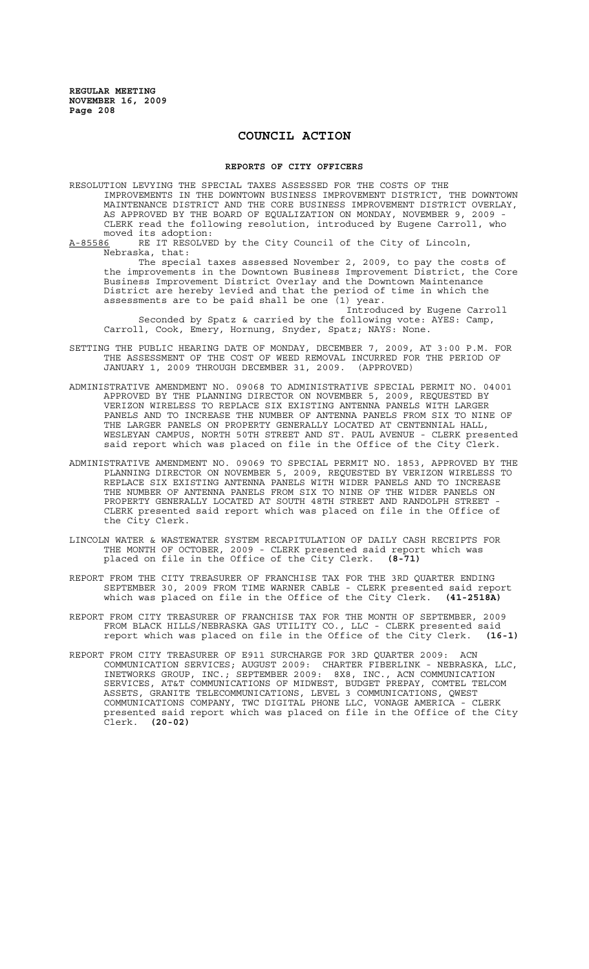# **COUNCIL ACTION**

#### **REPORTS OF CITY OFFICERS**

RESOLUTION LEVYING THE SPECIAL TAXES ASSESSED FOR THE COSTS OF THE IMPROVEMENTS IN THE DOWNTOWN BUSINESS IMPROVEMENT DISTRICT, THE DOWNTOWN MAINTENANCE DISTRICT AND THE CORE BUSINESS IMPROVEMENT DISTRICT OVERLAY, AS APPROVED BY THE BOARD OF EQUALIZATION ON MONDAY, NOVEMBER 9, 2009 - CLERK read the following resolution, introduced by Eugene Carroll, who moved its adoption:<br><u>A-85586</u> RE IT RESOLVE

RE IT RESOLVED by the City Council of the City of Lincoln, Nebraska, that:

The special taxes assessed November 2, 2009, to pay the costs of the improvements in the Downtown Business Improvement District, the Core Business Improvement District Overlay and the Downtown Maintenance District are hereby levied and that the period of time in which the assessments are to be paid shall be one (1) year.

Introduced by Eugene Carroll Seconded by Spatz & carried by the following vote: AYES: Camp, Carroll, Cook, Emery, Hornung, Snyder, Spatz; NAYS: None.

- SETTING THE PUBLIC HEARING DATE OF MONDAY, DECEMBER 7, 2009, AT 3:00 P.M. FOR THE ASSESSMENT OF THE COST OF WEED REMOVAL INCURRED FOR THE PERIOD OF JANUARY 1, 2009 THROUGH DECEMBER 31, 2009. (APPROVED) JANUARY 1, 2009 THROUGH DECEMBER 31, 2009.
- ADMINISTRATIVE AMENDMENT NO. 09068 TO ADMINISTRATIVE SPECIAL PERMIT NO. 04001 APPROVED BY THE PLANNING DIRECTOR ON NOVEMBER 5, 2009, REQUESTED BY VERIZON WIRELESS TO REPLACE SIX EXISTING ANTENNA PANELS WITH LARGER PANELS AND TO INCREASE THE NUMBER OF ANTENNA PANELS FROM SIX TO NINE OF THE LARGER PANELS ON PROPERTY GENERALLY LOCATED AT CENTENNIAL HALL, WESLEYAN CAMPUS, NORTH 50TH STREET AND ST. PAUL AVENUE - CLERK presented said report which was placed on file in the Office of the City Clerk.
- ADMINISTRATIVE AMENDMENT NO. 09069 TO SPECIAL PERMIT NO. 1853, APPROVED BY THE PLANNING DIRECTOR ON NOVEMBER 5, 2009, REQUESTED BY VERIZON WIRELESS TO REPLACE SIX EXISTING ANTENNA PANELS WITH WIDER PANELS AND TO INCREASE THE NUMBER OF ANTENNA PANELS FROM SIX TO NINE OF THE WIDER PANELS ON PROPERTY GENERALLY LOCATED AT SOUTH 48TH STREET AND RANDOLPH STREET CLERK presented said report which was placed on file in the Office of the City Clerk.
- LINCOLN WATER & WASTEWATER SYSTEM RECAPITULATION OF DAILY CASH RECEIPTS FOR THE MONTH OF OCTOBER, 2009 - CLERK presented said report which was placed on file in the Office of the City Clerk. **(8-71)**
- REPORT FROM THE CITY TREASURER OF FRANCHISE TAX FOR THE 3RD QUARTER ENDING SEPTEMBER 30, 2009 FROM TIME WARNER CABLE - CLERK presented said report which was placed on file in the Office of the City Clerk. **(41-2518A)**
- REPORT FROM CITY TREASURER OF FRANCHISE TAX FOR THE MONTH OF SEPTEMBER, 2009 FROM BLACK HILLS/NEBRASKA GAS UTILITY CO., LLC - CLERK presented said report which was placed on file in the Office of the City Clerk. **(16-1)**
- REPORT FROM CITY TREASURER OF E911 SURCHARGE FOR 3RD QUARTER 2009: ACN COMMUNICATION SERVICES; AUGUST 2009: CHARTER FIBERLINK - NEBRASKA, LLC, INETWORKS GROUP, INC.; SEPTEMBER 2009: 8X8, INC., ACN COMMUNICATION SERVICES, AT&T COMMUNICATIONS OF MIDWEST, BUDGET PREPAY, COMTEL TELCOM ASSETS, GRANITE TELECOMMUNICATIONS, LEVEL 3 COMMUNICATIONS, QWEST COMMUNICATIONS COMPANY, TWC DIGITAL PHONE LLC, VONAGE AMERICA - CLERK presented said report which was placed on file in the Office of the City Clerk. **(20-02)**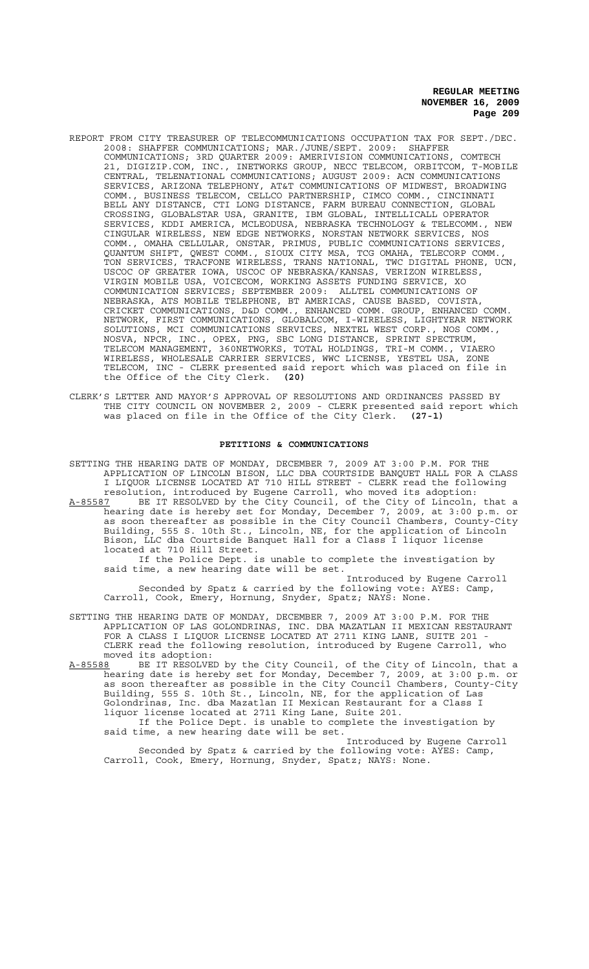- REPORT FROM CITY TREASURER OF TELECOMMUNICATIONS OCCUPATION TAX FOR SEPT./DEC. 2008: SHAFFER COMMUNICATIONS; MAR./JUNE/SEPT. 2009: SHAFFER COMMUNICATIONS; 3RD QUARTER 2009: AMERIVISION COMMUNICATIONS, COMTECH 21, DIGIZIP.COM, INC., INETWORKS GROUP, NECC TELECOM, ORBITCOM, T-MOBILE CENTRAL, TELENATIONAL COMMUNICATIONS; AUGUST 2009: ACN COMMUNICATIONS SERVICES, ARIZONA TELEPHONY, AT&T COMMUNICATIONS OF MIDWEST, BROADWING COMM., BUSINESS TELECOM, CELLCO PARTNERSHIP, CIMCO COMM., CINCINNATI BELL ANY DISTANCE, CTI LONG DISTANCE, FARM BUREAU CONNECTION, GLOBAL CROSSING, GLOBALSTAR USA, GRANITE, IBM GLOBAL, INTELLICALL OPERATOR SERVICES, KDDI AMERICA, MCLEODUSA, NEBRASKA TECHNOLOGY & TELECOMM., NEW CINGULAR WIRELESS, NEW EDGE NETWORKS, NORSTAN NETWORK SERVICES, NOS COMM., OMAHA CELLULAR, ONSTAR, PRIMUS, PUBLIC COMMUNICATIONS SERVICES, QUANTUM SHIFT, QWEST COMM., SIOUX CITY MSA, TCG OMAHA, TELECORP COMM., TON SERVICES, TRACFONE WIRELESS, TRANS NATIONAL, TWC DIGITAL PHONE, UCN, USCOC OF GREATER IOWA, USCOC OF NEBRASKA/KANSAS, VERIZON WIRELESS, VIRGIN MOBILE USA, VOICECOM, WORKING ASSETS FUNDING SERVICE, XO COMMUNICATION SERVICES; SEPTEMBER 2009: ALLTEL COMMUNICATIONS OF NEBRASKA, ATS MOBILE TELEPHONE, BT AMERICAS, CAUSE BASED, COVISTA, CRICKET COMMUNICATIONS, D&D COMM., ENHANCED COMM. GROUP, ENHANCED COMM. NETWORK, FIRST COMMUNICATIONS, GLOBALCOM, I-WIRELESS, LIGHTYEAR NETWORK SOLUTIONS, MCI COMMUNICATIONS SERVICES, NEXTEL WEST CORP., NOS COMM., NOSVA, NPCR, INC., OPEX, PNG, SBC LONG DISTANCE, SPRINT SPECTRUM, TELECOM MANAGEMENT, 360NETWORKS, TOTAL HOLDINGS, TRI-M COMM., VIAERO WIRELESS, WHOLESALE CARRIER SERVICES, WWC LICENSE, YESTEL USA, ZONE TELECOM, INC - CLERK presented said report which was placed on file in the Office of the City Clerk. **(20)**
- CLERK'S LETTER AND MAYOR'S APPROVAL OF RESOLUTIONS AND ORDINANCES PASSED BY THE CITY COUNCIL ON NOVEMBER 2, 2009 - CLERK presented said report which was placed on file in the Office of the City Clerk. **(27-1)**

#### **PETITIONS & COMMUNICATIONS**

SETTING THE HEARING DATE OF MONDAY, DECEMBER 7, 2009 AT 3:00 P.M. FOR THE APPLICATION OF LINCOLN BISON, LLC DBA COURTSIDE BANQUET HALL FOR A CLASS I LIQUOR LICENSE LOCATED AT 710 HILL STREET - CLERK read the following resolution, introduced by Eugene Carroll, who moved its adoption:

A-85587 BE IT RESOLVED by the City Council, of the City of Lincoln, that a hearing date is hereby set for Monday, December 7, 2009, at 3:00 p.m. or as soon thereafter as possible in the City Council Chambers, County-City Building, 555 S. 10th St., Lincoln, NE, for the application of Lincoln Bison, LLC dba Courtside Banquet Hall for a Class I liquor license located at 710 Hill Street.

If the Police Dept. is unable to complete the investigation by said time, a new hearing date will be set.

Introduced by Eugene Carroll Seconded by Spatz & carried by the following vote: AYES: Camp, Carroll, Cook, Emery, Hornung, Snyder, Spatz; NAYS: None.

SETTING THE HEARING DATE OF MONDAY, DECEMBER 7, 2009 AT 3:00 P.M. FOR THE APPLICATION OF LAS GOLONDRINAS, INC. DBA MAZATLAN II MEXICAN RESTAURANT FOR A CLASS I LIQUOR LICENSE LOCATED AT 2711 KING LANE, SUITE 201 - CLERK read the following resolution, introduced by Eugene Carroll, who moved its adoption:

A-85588 BE IT RESOLVED by the City Council, of the City of Lincoln, that a hearing date is hereby set for Monday, December 7, 2009, at 3:00 p.m. or as soon thereafter as possible in the City Council Chambers, County-City Building, 555 S. 10th St., Lincoln, NE, for the application of Las Golondrinas, Inc. dba Mazatlan II Mexican Restaurant for a Class I liquor license located at 2711 King Lane, Suite 201.

If the Police Dept. is unable to complete the investigation by said time, a new hearing date will be set.

Introduced by Eugene Carroll Seconded by Spatz & carried by the following vote: AYES: Camp, Carroll, Cook, Emery, Hornung, Snyder, Spatz; NAYS: None.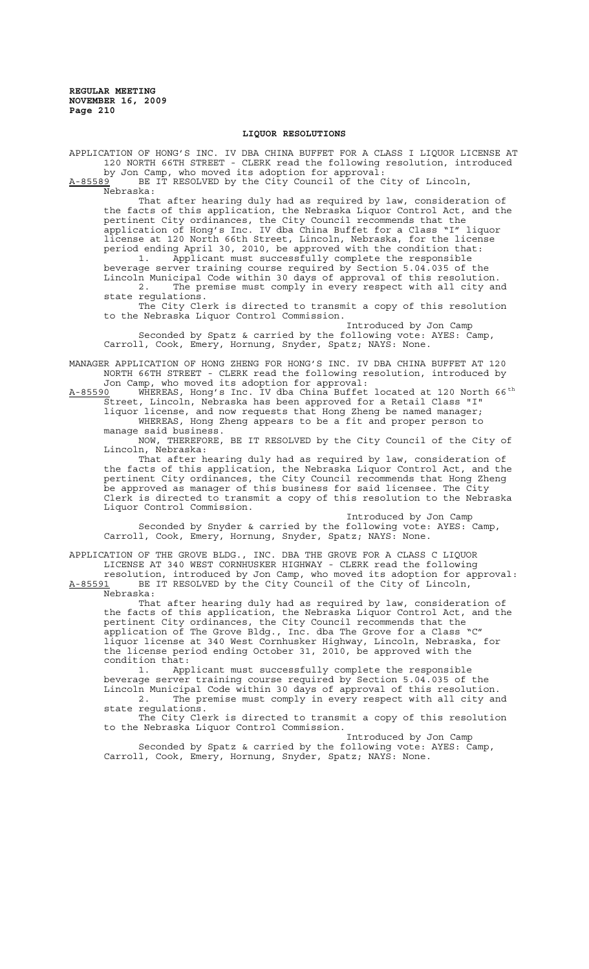#### **LIQUOR RESOLUTIONS**

APPLICATION OF HONG'S INC. IV DBA CHINA BUFFET FOR A CLASS I LIQUOR LICENSE AT 120 NORTH 66TH STREET - CLERK read the following resolution, introduced by Jon Camp, who moved its adoption for approval:

A-85589 BE IT RESOLVED by the City Council of the City of Lincoln,  $A-85589$  BE I<br>Nebraska:

That after hearing duly had as required by law, consideration of the facts of this application, the Nebraska Liquor Control Act, and the pertinent City ordinances, the City Council recommends that the application of Hong's Inc. IV dba China Buffet for a Class "I" liquor license at 120 North 66th Street, Lincoln, Nebraska, for the license period ending April 30, 2010, be approved with the condition that: 1. Applicant must successfully complete the responsible beverage server training course required by Section 5.04.035 of the Lincoln Municipal Code within 30 days of approval of this resolution. 2. The premise must comply in every respect with all city and state regulations.

The City Clerk is directed to transmit a copy of this resolution to the Nebraska Liquor Control Commission.

Introduced by Jon Camp Seconded by Spatz & carried by the following vote: AYES: Camp, Carroll, Cook, Emery, Hornung, Snyder, Spatz; NAYS: None.

MANAGER APPLICATION OF HONG ZHENG FOR HONG'S INC. IV DBA CHINA BUFFET AT 120 NORTH 66TH STREET - CLERK read the following resolution, introduced by Jon Camp, who moved its adoption for approval:

A-85590 WHEREAS, Hong's Inc. IV dba China Buffet located at 120 North 66<sup>th</sup> Street, Lincoln, Nebraska has been approved for a Retail Class "I" liquor license, and now requests that Hong Zheng be named manager; WHEREAS, Hong Zheng appears to be a fit and proper person to manage said business.

NOW, THEREFORE, BE IT RESOLVED by the City Council of the City of Lincoln, Nebraska:

That after hearing duly had as required by law, consideration of the facts of this application, the Nebraska Liquor Control Act, and the pertinent City ordinances, the City Council recommends that Hong Zheng be approved as manager of this business for said licensee. The City Clerk is directed to transmit a copy of this resolution to the Nebraska Liquor Control Commission.

Introduced by Jon Camp Seconded by Snyder & carried by the following vote: AYES: Camp, Carroll, Cook, Emery, Hornung, Snyder, Spatz; NAYS: None.

APPLICATION OF THE GROVE BLDG., INC. DBA THE GROVE FOR A CLASS C LIQUOR

LICENSE AT 340 WEST CORNHUSKER HIGHWAY - CLERK read the following resolution, introduced by Jon Camp, who moved its adoption for approval: A-85591 BE IT RESOLVED by the City Council of the City of Lincoln,

Nebraska: That after hearing duly had as required by law, consideration of the facts of this application, the Nebraska Liquor Control Act, and the pertinent City ordinances, the City Council recommends that the application of The Grove Bldg., Inc. dba The Grove for a Class "C" liquor license at 340 West Cornhusker Highway, Lincoln, Nebraska, for the license period ending October 31, 2010, be approved with the condition that:

1. Applicant must successfully complete the responsible beverage server training course required by Section 5.04.035 of the Lincoln Municipal Code within 30 days of approval of this resolution. 2. The premise must comply in every respect with all city and

state regulations. The City Clerk is directed to transmit a copy of this resolution to the Nebraska Liquor Control Commission.

Introduced by Jon Camp Seconded by Spatz & carried by the following vote: AYES: Camp, Carroll, Cook, Emery, Hornung, Snyder, Spatz; NAYS: None.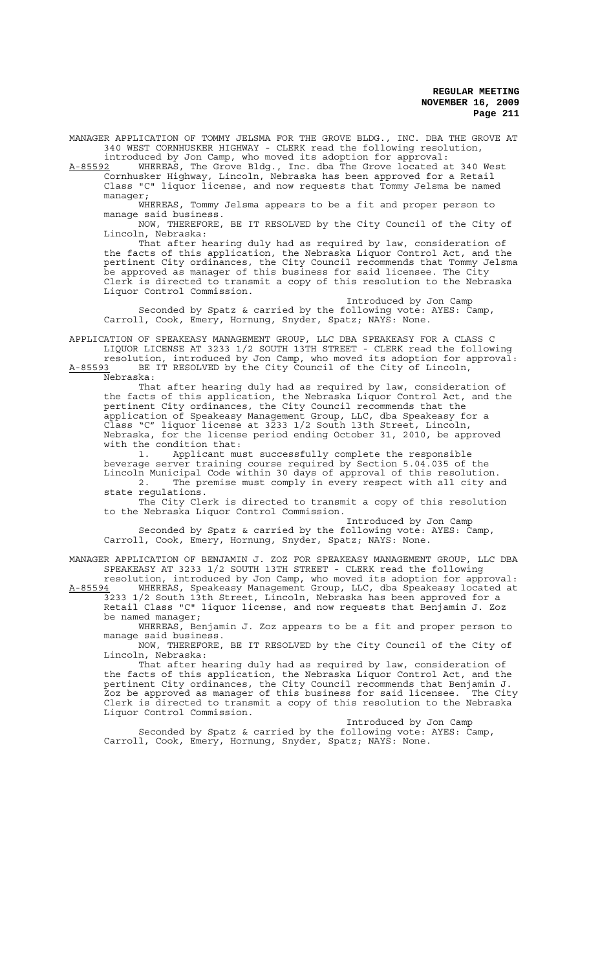MANAGER APPLICATION OF TOMMY JELSMA FOR THE GROVE BLDG., INC. DBA THE GROVE AT 340 WEST CORNHUSKER HIGHWAY - CLERK read the following resolution, introduced by Jon Camp, who moved its adoption for approval:

A-85592 WHEREAS, The Grove Bldg., Inc. dba The Grove located at 340 West Cornhusker Highway, Lincoln, Nebraska has been approved for a Retail Class "C" liquor license, and now requests that Tommy Jelsma be named manager;

WHEREAS, Tommy Jelsma appears to be a fit and proper person to manage said business.

NOW, THEREFORE, BE IT RESOLVED by the City Council of the City of Lincoln, Nebraska:

That after hearing duly had as required by law, consideration of the facts of this application, the Nebraska Liquor Control Act, and the pertinent City ordinances, the City Council recommends that Tommy Jelsma be approved as manager of this business for said licensee. The City Clerk is directed to transmit a copy of this resolution to the Nebraska Liquor Control Commission.

Introduced by Jon Camp Seconded by Spatz & carried by the following vote: AYES: Camp, Carroll, Cook, Emery, Hornung, Snyder, Spatz; NAYS: None.

APPLICATION OF SPEAKEASY MANAGEMENT GROUP, LLC DBA SPEAKEASY FOR A CLASS C LIQUOR LICENSE AT 3233 1/2 SOUTH 13TH STREET - CLERK read the following resolution, introduced by Jon Camp, who moved its adoption for approval:

A-85593 BE IT RESOLVED by the City Council of the City of Lincoln, Nebraska:

That after hearing duly had as required by law, consideration of the facts of this application, the Nebraska Liquor Control Act, and the pertinent City ordinances, the City Council recommends that the application of Speakeasy Management Group, LLC, dba Speakeasy for a Class "C" liquor license at 3233 1/2 South 13th Street, Lincoln, Nebraska, for the license period ending October 31, 2010, be approved with the condition that:

1. Applicant must successfully complete the responsible beverage server training course required by Section 5.04.035 of the Lincoln Municipal Code within 30 days of approval of this resolution.

2. The premise must comply in every respect with all city and state regulations.

The City Clerk is directed to transmit a copy of this resolution to the Nebraska Liquor Control Commission.

Introduced by Jon Camp Seconded by Spatz & carried by the following vote: AYES: Camp, Carroll, Cook, Emery, Hornung, Snyder, Spatz; NAYS: None.

MANAGER APPLICATION OF BENJAMIN J. ZOZ FOR SPEAKEASY MANAGEMENT GROUP, LLC DBA SPEAKEASY AT 3233 1/2 SOUTH 13TH STREET - CLERK read the following resolution, introduced by Jon Camp, who moved its adoption for approval:

A-85594 MHEREAS, Speakeasy Management Group, LLC, dba Speakeasy located at 3233 1/2 South 13th Street, Lincoln, Nebraska has been approved for a Retail Class "C" liquor license, and now requests that Benjamin J. Zoz be named manager;

WHEREAS, Benjamin J. Zoz appears to be a fit and proper person to manage said business.

NOW, THEREFORE, BE IT RESOLVED by the City Council of the City of Lincoln, Nebraska:

That after hearing duly had as required by law, consideration of the facts of this application, the Nebraska Liquor Control Act, and the pertinent City ordinances, the City Council recommends that Benjamin J. Zoz be approved as manager of this business for said licensee. The City Clerk is directed to transmit a copy of this resolution to the Nebraska Liquor Control Commission.

Introduced by Jon Camp Seconded by Spatz & carried by the following vote: AYES: Camp, Carroll, Cook, Emery, Hornung, Snyder, Spatz; NAYS: None.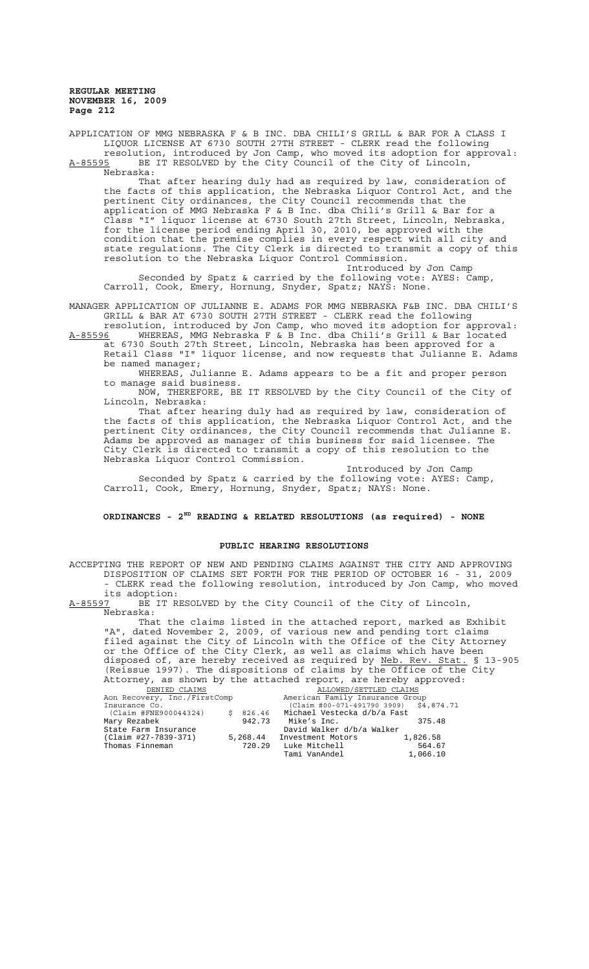APPLICATION OF MMG NEBRASKA F & B INC. DBA CHILI'S GRILL & BAR FOR A CLASS I LIQUOR LICENSE AT 6730 SOUTH 27TH STREET - CLERK read the following resolution, introduced by Jon Camp, who moved its adoption for approval: A-85595 BE IT RESOLVED by the City Council of the City of Lincoln, Nebraska:

That after hearing duly had as required by law, consideration of the facts of this application, the Nebraska Liquor Control Act, and the pertinent City ordinances, the City Council recommends that the application of MMG Nebraska F & B Inc. dba Chili's Grill & Bar for a Class "I" liquor license at 6730 South 27th Street, Lincoln, Nebraska, for the license period ending April 30, 2010, be approved with the condition that the premise complies in every respect with all city and state regulations. The City Clerk is directed to transmit a copy of this resolution to the Nebraska Liquor Control Commission. Introduced by Jon Camp

Seconded by Spatz & carried by the following vote: AYES: Camp, Carroll, Cook, Emery, Hornung, Snyder, Spatz; NAYS: None.

MANAGER APPLICATION OF JULIANNE E. ADAMS FOR MMG NEBRASKA F&B INC. DBA CHILI'S GRILL & BAR AT 6730 SOUTH 27TH STREET - CLERK read the following

resolution, introduced by Jon Camp, who moved its adoption for approval: A-85596 WHEREAS, MMG Nebraska F & B Inc. dba Chili's Grill & Bar located at 6730 South 27th Street, Lincoln, Nebraska has been approved for a

Retail Class "I" liquor license, and now requests that Julianne E. Adams be named manager;

WHEREAS, Julianne E. Adams appears to be a fit and proper person to manage said business.

NOW, THEREFORE, BE IT RESOLVED by the City Council of the City of Lincoln, Nebraska:

That after hearing duly had as required by law, consideration of the facts of this application, the Nebraska Liquor Control Act, and the pertinent City ordinances, the City Council recommends that Julianne E. Adams be approved as manager of this business for said licensee. The City Clerk is directed to transmit a copy of this resolution to the Nebraska Liquor Control Commission.

Introduced by Jon Camp Seconded by Spatz & carried by the following vote: AYES: Camp, Carroll, Cook, Emery, Hornung, Snyder, Spatz; NAYS: None.

## **ORDINANCES - 2ND READING & RELATED RESOLUTIONS (as required) - NONE**

## **PUBLIC HEARING RESOLUTIONS**

ACCEPTING THE REPORT OF NEW AND PENDING CLAIMS AGAINST THE CITY AND APPROVING DISPOSITION OF CLAIMS SET FORTH FOR THE PERIOD OF OCTOBER 16 - 31, 2009 - CLERK read the following resolution, introduced by Jon Camp, who moved

its adoption:<br><u>A-85597</u> BE IT R BE IT RESOLVED by the City Council of the City of Lincoln, Nebraska:

That the claims listed in the attached report, marked as Exhibit "A", dated November 2, 2009, of various new and pending tort claims filed against the City of Lincoln with the Office of the City Attorney or the Office of the City Clerk, as well as claims which have been disposed of, are hereby received as required by Neb. Rev. Stat. § 13-905 (Reissue 1997). The dispositions of claims by the Office of the City Attorney, as shown by the attached report, are hereby approved:

| DENIED CLAIMS                |    |          | ALLOWED/SETTLED CLAIMS                 |  |          |
|------------------------------|----|----------|----------------------------------------|--|----------|
| Aon Recovery, Inc./FirstComp |    |          | American Family Insurance Group        |  |          |
| Insurance Co.                |    |          | (Claim #00-071-491790 3909) \$4,874.71 |  |          |
| (Claim #FNE900044324)        | Ŝ. | 826.46   | Michael Vestecka d/b/a Fast            |  |          |
| Mary Rezabek                 |    | 942.73   | Mike's Inc.                            |  | 375.48   |
| State Farm Insurance         |    |          | David Walker d/b/a Walker              |  |          |
| (Claim #27-7839-371)         |    | 5,268.44 | Investment Motors                      |  | 1,826.58 |
| Thomas Finneman              |    |          | 720.29 Luke Mitchell                   |  | 564.67   |
|                              |    |          | Tami VanAndel                          |  | 1,066.10 |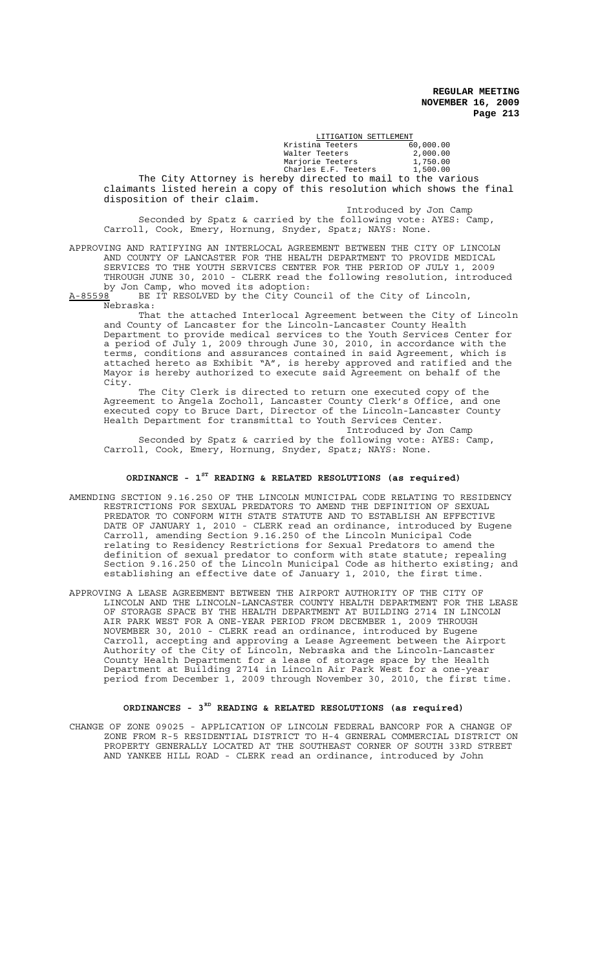|                                                                         | LITIGATION SETTLEMENT         |                        |  |  |  |  |
|-------------------------------------------------------------------------|-------------------------------|------------------------|--|--|--|--|
|                                                                         | Kristina Teeters              | 60,000.00              |  |  |  |  |
|                                                                         | Walter Teeters                | 2,000.00               |  |  |  |  |
|                                                                         | Marjorie Teeters              | 1,750.00               |  |  |  |  |
|                                                                         | Charles E.F. Teeters 1,500.00 |                        |  |  |  |  |
| The City Attorney is hereby directed to mail to the various             |                               |                        |  |  |  |  |
| claimants listed herein a copy of this resolution which shows the final |                               |                        |  |  |  |  |
| disposition of their claim.                                             |                               |                        |  |  |  |  |
|                                                                         |                               | Introduced by Jon Camp |  |  |  |  |
| Seconded by Spatz & carried by the following vote: AYES: Camp,          |                               |                        |  |  |  |  |
| Carroll, Cook, Emery, Hornung, Snyder, Spatz; NAYS: None.               |                               |                        |  |  |  |  |

APPROVING AND RATIFYING AN INTERLOCAL AGREEMENT BETWEEN THE CITY OF LINCOLN AND COUNTY OF LANCASTER FOR THE HEALTH DEPARTMENT TO PROVIDE MEDICAL SERVICES TO THE YOUTH SERVICES CENTER FOR THE PERIOD OF JULY 1, 2009 THROUGH JUNE 30, 2010 - CLERK read the following resolution, introduced by Jon Camp, who moved its adoption:<br>A-85598 BE IT RESOLVED by the City Cour

BE IT RESOLVED by the City Council of the City of Lincoln, Nebraska:

That the attached Interlocal Agreement between the City of Lincoln and County of Lancaster for the Lincoln-Lancaster County Health Department to provide medical services to the Youth Services Center for a period of July 1, 2009 through June 30, 2010, in accordance with the terms, conditions and assurances contained in said Agreement, which is attached hereto as Exhibit "A", is hereby approved and ratified and the Mayor is hereby authorized to execute said Agreement on behalf of the City.

The City Clerk is directed to return one executed copy of the Agreement to Angela Zocholl, Lancaster County Clerk's Office, and one executed copy to Bruce Dart, Director of the Lincoln-Lancaster County Health Department for transmittal to Youth Services Center.

Introduced by Jon Camp Seconded by Spatz & carried by the following vote: AYES: Camp, Carroll, Cook, Emery, Hornung, Snyder, Spatz; NAYS: None.

# **ORDINANCE - 1ST READING & RELATED RESOLUTIONS (as required)**

- AMENDING SECTION 9.16.250 OF THE LINCOLN MUNICIPAL CODE RELATING TO RESIDENCY RESTRICTIONS FOR SEXUAL PREDATORS TO AMEND THE DEFINITION OF SEXUAL PREDATOR TO CONFORM WITH STATE STATUTE AND TO ESTABLISH AN EFFECTIVE DATE OF JANUARY 1, 2010 - CLERK read an ordinance, introduced by Eugene Carroll, amending Section 9.16.250 of the Lincoln Municipal Code relating to Residency Restrictions for Sexual Predators to amend the definition of sexual predator to conform with state statute; repealing Section 9.16.250 of the Lincoln Municipal Code as hitherto existing; and establishing an effective date of January 1, 2010, the first time.
- APPROVING A LEASE AGREEMENT BETWEEN THE AIRPORT AUTHORITY OF THE CITY OF LINCOLN AND THE LINCOLN-LANCASTER COUNTY HEALTH DEPARTMENT FOR THE LEASE OF STORAGE SPACE BY THE HEALTH DEPARTMENT AT BUILDING 2714 IN LINCOLN AIR PARK WEST FOR A ONE-YEAR PERIOD FROM DECEMBER 1, 2009 THROUGH NOVEMBER 30, 2010 - CLERK read an ordinance, introduced by Eugene Carroll, accepting and approving a Lease Agreement between the Airport Authority of the City of Lincoln, Nebraska and the Lincoln-Lancaster County Health Department for a lease of storage space by the Health Department at Building 2714 in Lincoln Air Park West for a one-year period from December 1, 2009 through November 30, 2010, the first time.

# **ORDINANCES - 3RD READING & RELATED RESOLUTIONS (as required)**

CHANGE OF ZONE 09025 - APPLICATION OF LINCOLN FEDERAL BANCORP FOR A CHANGE OF ZONE FROM R-5 RESIDENTIAL DISTRICT TO H-4 GENERAL COMMERCIAL DISTRICT ON PROPERTY GENERALLY LOCATED AT THE SOUTHEAST CORNER OF SOUTH 33RD STREET AND YANKEE HILL ROAD - CLERK read an ordinance, introduced by John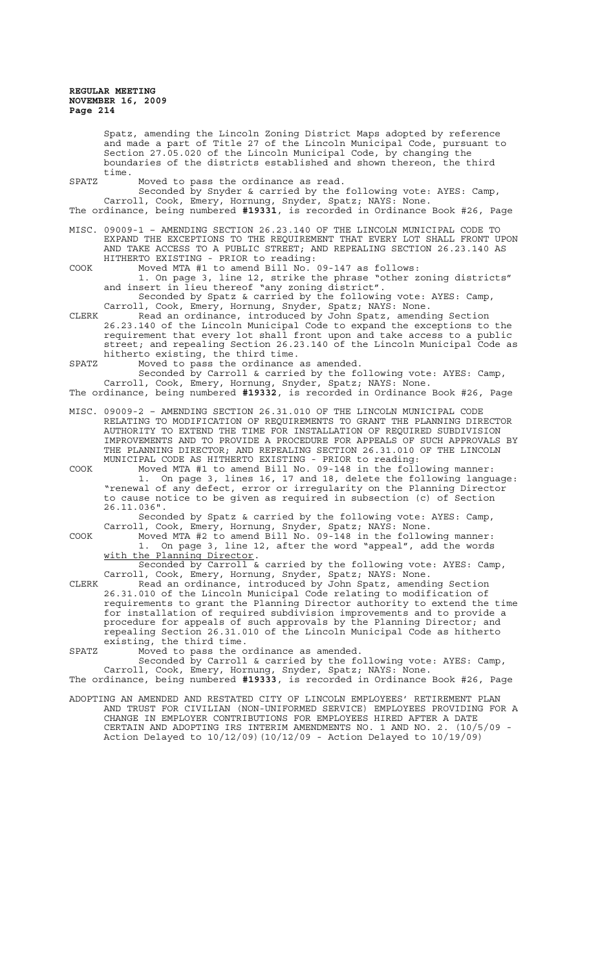Spatz, amending the Lincoln Zoning District Maps adopted by reference and made a part of Title 27 of the Lincoln Municipal Code, pursuant to Section 27.05.020 of the Lincoln Municipal Code, by changing the boundaries of the districts established and shown thereon, the third time.

SPATZ Moved to pass the ordinance as read.

Seconded by Snyder & carried by the following vote: AYES: Camp, Carroll, Cook, Emery, Hornung, Snyder, Spatz; NAYS: None. The ordinance, being numbered **#19331**, is recorded in Ordinance Book #26, Page

MISC. 09009-1 – AMENDING SECTION 26.23.140 OF THE LINCOLN MUNICIPAL CODE TO EXPAND THE EXCEPTIONS TO THE REQUIREMENT THAT EVERY LOT SHALL FRONT UPON AND TAKE ACCESS TO A PUBLIC STREET; AND REPEALING SECTION 26.23.140 AS HITHERTO EXISTING - PRIOR to reading:

COOK Moved MTA #1 to amend Bill No. 09-147 as follows: 1. On page 3, line 12, strike the phrase "other zoning districts" and insert in lieu thereof "any zoning district".

Seconded by Spatz & carried by the following vote: AYES: Camp, Carroll, Cook, Emery, Hornung, Snyder, Spatz; NAYS: None. CLERK Read an ordinance, introduced by John Spatz, amending Section

26.23.140 of the Lincoln Municipal Code to expand the exceptions to the requirement that every lot shall front upon and take access to a public street; and repealing Section 26.23.140 of the Lincoln Municipal Code as hitherto existing, the third time.

SPATZ Moved to pass the ordinance as amended. Seconded by Carroll & carried by the following vote: AYES: Camp, Carroll, Cook, Emery, Hornung, Snyder, Spatz; NAYS: None.

The ordinance, being numbered **#19332**, is recorded in Ordinance Book #26, Page

MISC. 09009-2 – AMENDING SECTION 26.31.010 OF THE LINCOLN MUNICIPAL CODE RELATING TO MODIFICATION OF REQUIREMENTS TO GRANT THE PLANNING DIRECTOR AUTHORITY TO EXTEND THE TIME FOR INSTALLATION OF REQUIRED SUBDIVISION IMPROVEMENTS AND TO PROVIDE A PROCEDURE FOR APPEALS OF SUCH APPROVALS BY THE PLANNING DIRECTOR; AND REPEALING SECTION 26.31.010 OF THE LINCOLN MUNICIPAL CODE AS HITHERTO EXISTING - PRIOR to reading:

COOK Moved MTA #1 to amend Bill No. 09-148 in the following manner: 1. On page 3, lines 16, 17 and 18, delete the following language: "renewal of any defect, error or irregularity on the Planning Director to cause notice to be given as required in subsection (c) of Section 26.11.036".

Seconded by Spatz & carried by the following vote: AYES: Camp, Carroll, Cook, Emery, Hornung, Snyder, Spatz; NAYS: None.

COOK Moved MTA #2 to amend Bill No. 09-148 in the following manner:<br>1. On page 3, line 12, after the word "appeal", add the words 1. On page 3, line 12, after the word "appeal", add the words with the Planning Director.

Seconded by Carroll & carried by the following vote: AYES: Camp, Carroll, Cook, Emery, Hornung, Snyder, Spatz; NAYS: None.

CLERK Read an ordinance, introduced by John Spatz, amending Section 26.31.010 of the Lincoln Municipal Code relating to modification of requirements to grant the Planning Director authority to extend the time for installation of required subdivision improvements and to provide a procedure for appeals of such approvals by the Planning Director; and repealing Section 26.31.010 of the Lincoln Municipal Code as hitherto existing, the third time.

SPATZ Moved to pass the ordinance as amended.

Seconded by Carroll & carried by the following vote: AYES: Camp, Carroll, Cook, Emery, Hornung, Snyder, Spatz; NAYS: None.

The ordinance, being numbered **#19333**, is recorded in Ordinance Book #26, Page ADOPTING AN AMENDED AND RESTATED CITY OF LINCOLN EMPLOYEES' RETIREMENT PLAN

AND TRUST FOR CIVILIAN (NON-UNIFORMED SERVICE) EMPLOYEES PROVIDING FOR A CHANGE IN EMPLOYER CONTRIBUTIONS FOR EMPLOYEES HIRED AFTER A DATE CERTAIN AND ADOPTING IRS INTERIM AMENDMENTS NO. 1 AND NO. 2. (10/5/09 - Action Delayed to  $10/12/09$  (10/12/09 - Action Delayed to  $10/19/09$ )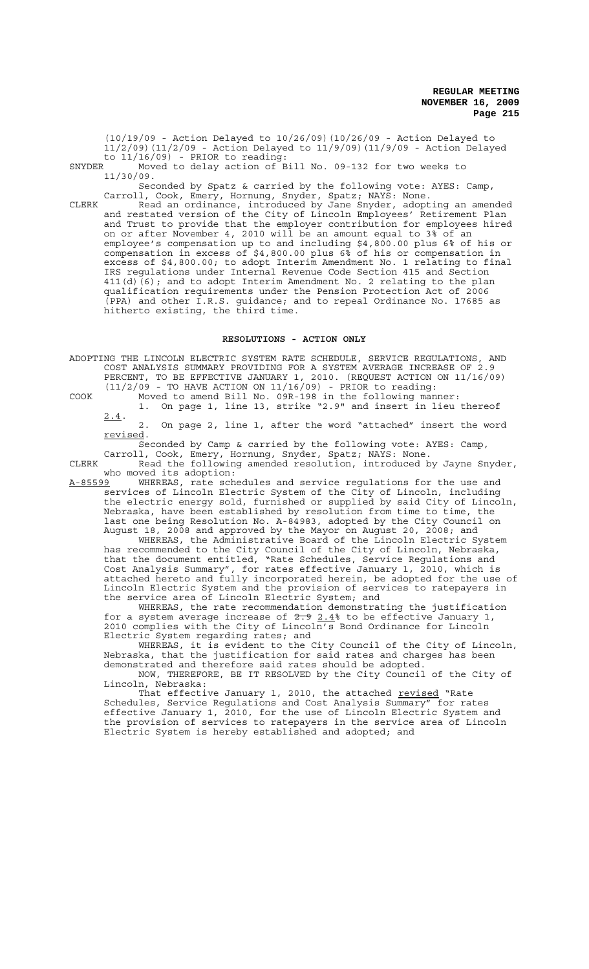(10/19/09 - Action Delayed to 10/26/09)(10/26/09 - Action Delayed to 11/2/09)(11/2/09 - Action Delayed to 11/9/09)(11/9/09 - Action Delayed to  $11/16/09$ ) - PRIOR to reading:

SNYDER Moved to delay action of Bill No. 09-132 for two weeks to 11/30/09.

Seconded by Spatz & carried by the following vote: AYES: Camp, Carroll, Cook, Emery, Hornung, Snyder, Spatz; NAYS: None.

CLERK Read an ordinance, introduced by Jane Snyder, adopting an amended and restated version of the City of Lincoln Employees' Retirement Plan and Trust to provide that the employer contribution for employees hired on or after November 4, 2010 will be an amount equal to 3% of an employee's compensation up to and including \$4,800.00 plus 6% of his or compensation in excess of \$4,800.00 plus 6% of his or compensation in excess of \$4,800.00; to adopt Interim Amendment No. 1 relating to final IRS regulations under Internal Revenue Code Section 415 and Section 411(d)(6); and to adopt Interim Amendment No. 2 relating to the plan qualification requirements under the Pension Protection Act of 2006 (PPA) and other I.R.S. guidance; and to repeal Ordinance No. 17685 as hitherto existing, the third time.

## **RESOLUTIONS - ACTION ONLY**

ADOPTING THE LINCOLN ELECTRIC SYSTEM RATE SCHEDULE, SERVICE REGULATIONS, AND COST ANALYSIS SUMMARY PROVIDING FOR A SYSTEM AVERAGE INCREASE OF 2.9 PERCENT, TO BE EFFECTIVE JANUARY 1, 2010. (REQUEST ACTION ON 11/16/09) (11/2/09 - TO HAVE ACTION ON 11/16/09) - PRIOR to reading:

COOK Moved to amend Bill No. 09R-198 in the following manner: 1. On page 1, line 13, strike "2.9" and insert in lieu thereof

 $2.4.$ 2. On page 2, line 1, after the word "attached" insert the word revised.

Seconded by Camp & carried by the following vote: AYES: Camp, Carroll, Cook, Emery, Hornung, Snyder, Spatz; NAYS: None.

CLERK Read the following amended resolution, introduced by Jayne Snyder, who moved its adoption:

A-85599 WHEREAS, rate schedules and service regulations for the use and services of Lincoln Electric System of the City of Lincoln, including the electric energy sold, furnished or supplied by said City of Lincoln, Nebraska, have been established by resolution from time to time, the last one being Resolution No. A-84983, adopted by the City Council on August 18, 2008 and approved by the Mayor on August 20, 2008; and

WHEREAS, the Administrative Board of the Lincoln Electric System has recommended to the City Council of the City of Lincoln, Nebraska, that the document entitled, "Rate Schedules, Service Regulations and Cost Analysis Summary", for rates effective January 1, 2010, which is attached hereto and fully incorporated herein, be adopted for the use of Lincoln Electric System and the provision of services to ratepayers in the service area of Lincoln Electric System; and

WHEREAS, the rate recommendation demonstrating the justification for a system average increase of  $2.92.4$  to be effective January 1, 2010 complies with the City of Lincoln's Bond Ordinance for Lincoln Electric System regarding rates; and

WHEREAS, it is evident to the City Council of the City of Lincoln, Nebraska, that the justification for said rates and charges has been demonstrated and therefore said rates should be adopted.

NOW, THEREFORE, BE IT RESOLVED by the City Council of the City of Lincoln, Nebraska:

That effective January 1, 2010, the attached <u>revised</u> "Rate Schedules, Service Regulations and Cost Analysis Summary" for rates effective January 1, 2010, for the use of Lincoln Electric System and the provision of services to ratepayers in the service area of Lincoln Electric System is hereby established and adopted; and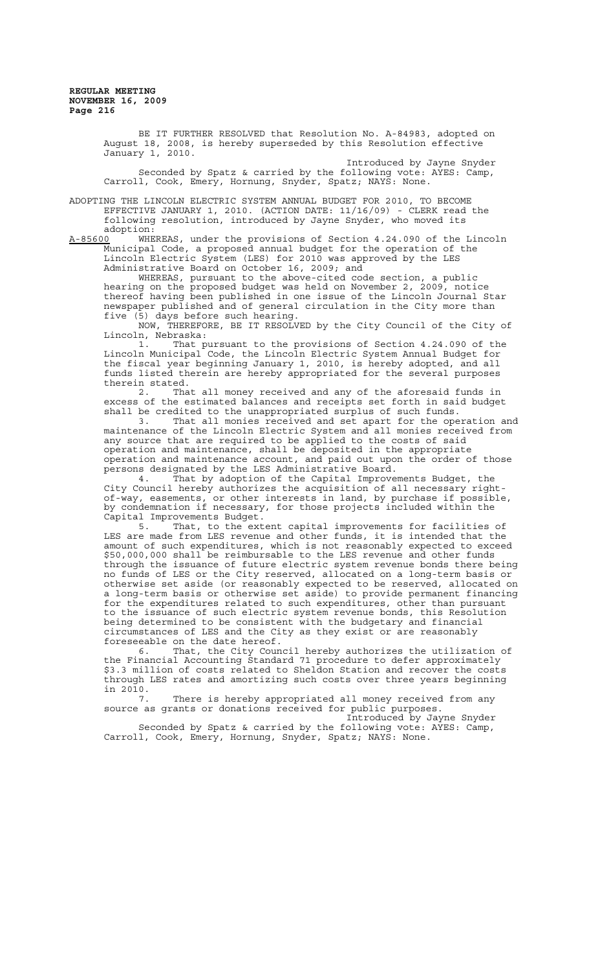> BE IT FURTHER RESOLVED that Resolution No. A-84983, adopted on August 18, 2008, is hereby superseded by this Resolution effective January 1, 2010.

> Introduced by Jayne Snyder Seconded by Spatz & carried by the following vote: AYES: Camp, Carroll, Cook, Emery, Hornung, Snyder, Spatz; NAYS: None.

ADOPTING THE LINCOLN ELECTRIC SYSTEM ANNUAL BUDGET FOR 2010, TO BECOME EFFECTIVE JANUARY 1, 2010. (ACTION DATE: 11/16/09) - CLERK read the following resolution, introduced by Jayne Snyder, who moved its

:adoption<br><u>A-85600</u> WHE WHEREAS, under the provisions of Section 4.24.090 of the Lincoln Municipal Code, a proposed annual budget for the operation of the Lincoln Electric System (LES) for 2010 was approved by the LES Administrative Board on October 16, 2009; and

WHEREAS, pursuant to the above-cited code section, a public hearing on the proposed budget was held on November 2, 2009, notice thereof having been published in one issue of the Lincoln Journal Star newspaper published and of general circulation in the City more than five (5) days before such hearing.

NOW, THEREFORE, BE IT RESOLVED by the City Council of the City of Lincoln, Nebraska:

1. That pursuant to the provisions of Section 4.24.090 of the Lincoln Municipal Code, the Lincoln Electric System Annual Budget for the fiscal year beginning January 1, 2010, is hereby adopted, and all funds listed therein are hereby appropriated for the several purposes therein stated.

2. That all money received and any of the aforesaid funds in excess of the estimated balances and receipts set forth in said budget shall be credited to the unappropriated surplus of such funds.

3. That all monies received and set apart for the operation and maintenance of the Lincoln Electric System and all monies received from any source that are required to be applied to the costs of said operation and maintenance, shall be deposited in the appropriate operation and maintenance account, and paid out upon the order of those persons designated by the LES Administrative Board.

4. That by adoption of the Capital Improvements Budget, the City Council hereby authorizes the acquisition of all necessary rightof-way, easements, or other interests in land, by purchase if possible, by condemnation if necessary, for those projects included within the Capital Improvements Budget.<br>5. That, to the ext

That, to the extent capital improvements for facilities of LES are made from LES revenue and other funds, it is intended that the amount of such expenditures, which is not reasonably expected to exceed \$50,000,000 shall be reimbursable to the LES revenue and other funds through the issuance of future electric system revenue bonds there being no funds of LES or the City reserved, allocated on a long-term basis or otherwise set aside (or reasonably expected to be reserved, allocated on a long-term basis or otherwise set aside) to provide permanent financing for the expenditures related to such expenditures, other than pursuant to the issuance of such electric system revenue bonds, this Resolution being determined to be consistent with the budgetary and financial circumstances of LES and the City as they exist or are reasonably foreseeable on the date hereof.

6. That, the City Council hereby authorizes the utilization of the Financial Accounting Standard 71 procedure to defer approximately \$3.3 million of costs related to Sheldon Station and recover the costs through LES rates and amortizing such costs over three years beginning in 2010.

7. There is hereby appropriated all money received from any source as grants or donations received for public purposes.

Introduced by Jayne Snyder Seconded by Spatz & carried by the following vote: AYES: Camp, Carroll, Cook, Emery, Hornung, Snyder, Spatz; NAYS: None.